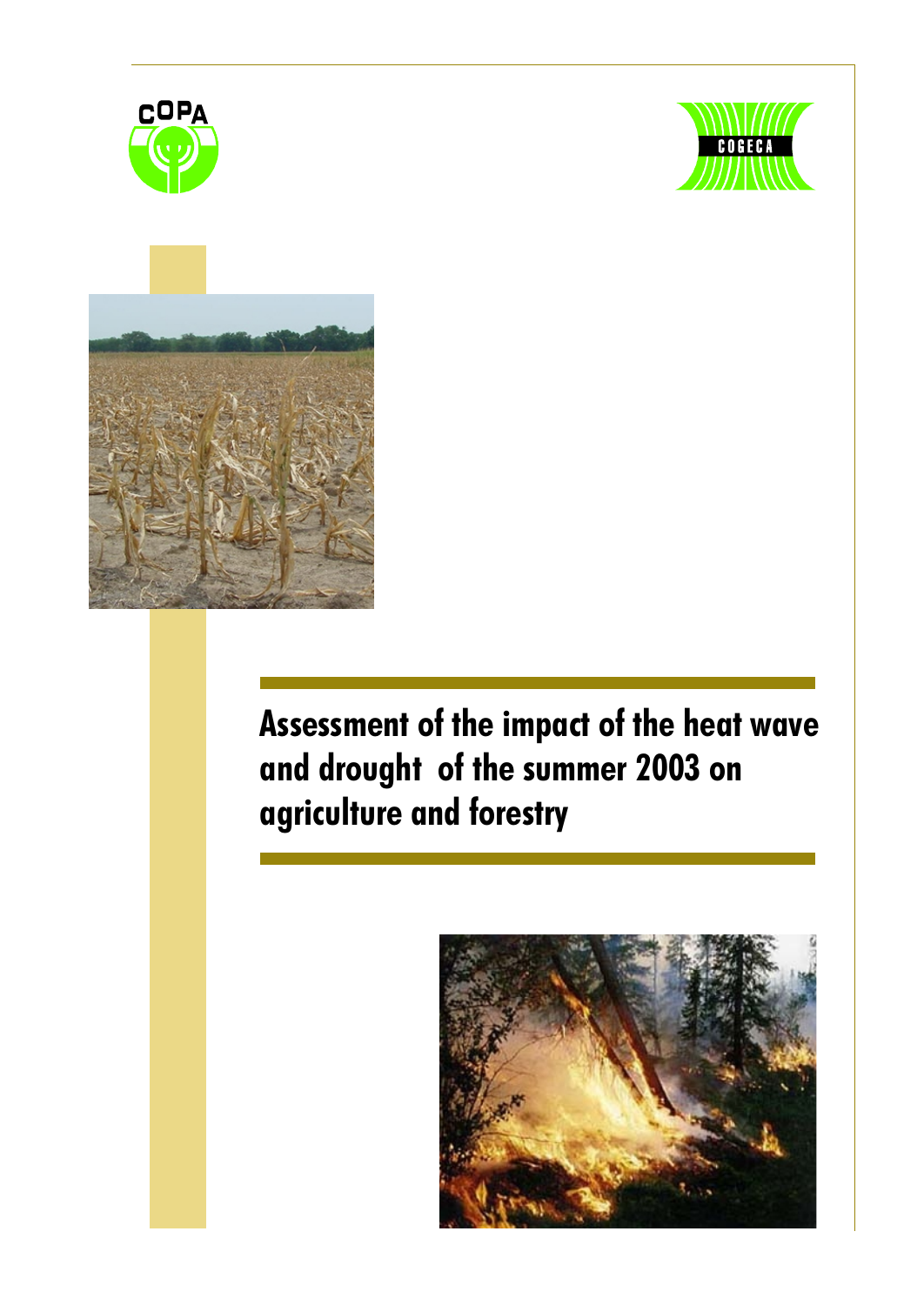





# Assessment of the impact of the heat wave and drought of the summer 2003 on agriculture and forestry

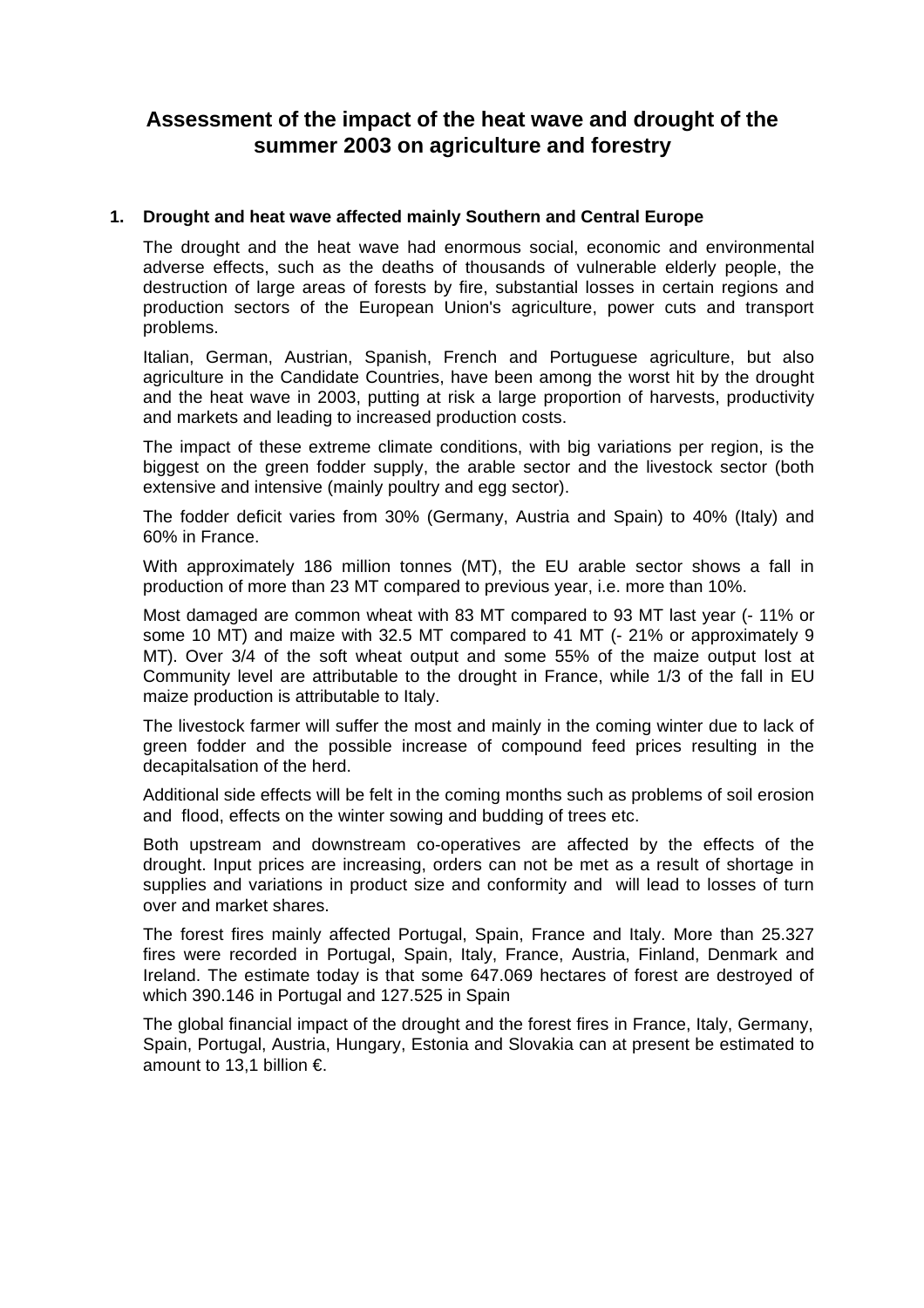# **Assessment of the impact of the heat wave and drought of the summer 2003 on agriculture and forestry**

# **1. Drought and heat wave affected mainly Southern and Central Europe**

The drought and the heat wave had enormous social, economic and environmental adverse effects, such as the deaths of thousands of vulnerable elderly people, the destruction of large areas of forests by fire, substantial losses in certain regions and production sectors of the European Union's agriculture, power cuts and transport problems.

Italian, German, Austrian, Spanish, French and Portuguese agriculture, but also agriculture in the Candidate Countries, have been among the worst hit by the drought and the heat wave in 2003, putting at risk a large proportion of harvests, productivity and markets and leading to increased production costs.

The impact of these extreme climate conditions, with big variations per region, is the biggest on the green fodder supply, the arable sector and the livestock sector (both extensive and intensive (mainly poultry and egg sector).

The fodder deficit varies from 30% (Germany, Austria and Spain) to 40% (Italy) and 60% in France.

With approximately 186 million tonnes (MT), the EU arable sector shows a fall in production of more than 23 MT compared to previous year, i.e. more than 10%.

Most damaged are common wheat with 83 MT compared to 93 MT last year (- 11% or some 10 MT) and maize with 32.5 MT compared to 41 MT (- 21% or approximately 9 MT). Over 3/4 of the soft wheat output and some 55% of the maize output lost at Community level are attributable to the drought in France, while 1/3 of the fall in EU maize production is attributable to Italy.

The livestock farmer will suffer the most and mainly in the coming winter due to lack of green fodder and the possible increase of compound feed prices resulting in the decapitalsation of the herd.

Additional side effects will be felt in the coming months such as problems of soil erosion and flood, effects on the winter sowing and budding of trees etc.

Both upstream and downstream co-operatives are affected by the effects of the drought. Input prices are increasing, orders can not be met as a result of shortage in supplies and variations in product size and conformity and will lead to losses of turn over and market shares.

The forest fires mainly affected Portugal, Spain, France and Italy. More than 25.327 fires were recorded in Portugal, Spain, Italy, France, Austria, Finland, Denmark and Ireland. The estimate today is that some 647.069 hectares of forest are destroyed of which 390.146 in Portugal and 127.525 in Spain

The global financial impact of the drought and the forest fires in France, Italy, Germany, Spain, Portugal, Austria, Hungary, Estonia and Slovakia can at present be estimated to amount to 13,1 billion €.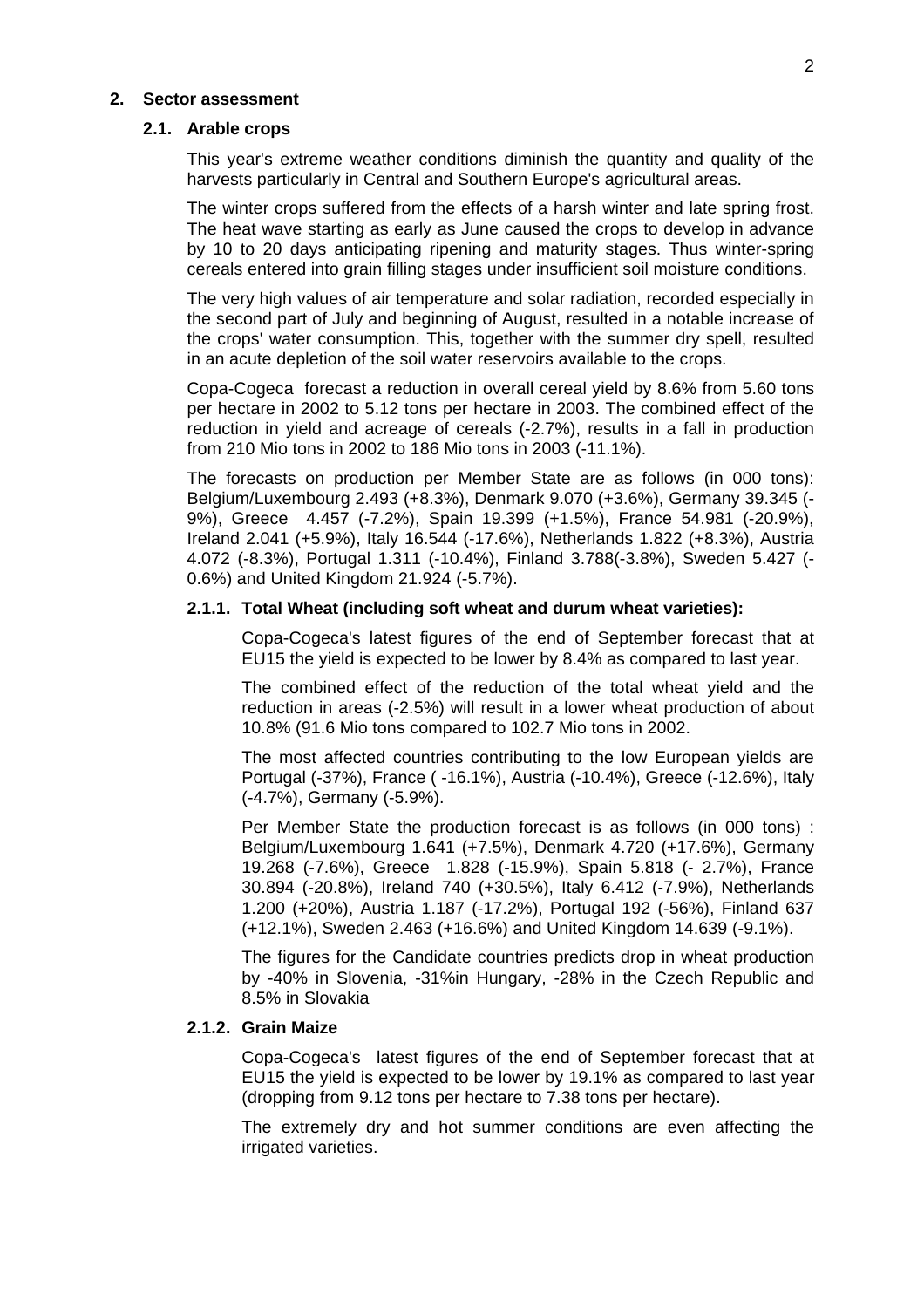#### **2. Sector assessment**

#### **2.1. Arable crops**

This year's extreme weather conditions diminish the quantity and quality of the harvests particularly in Central and Southern Europe's agricultural areas.

The winter crops suffered from the effects of a harsh winter and late spring frost. The heat wave starting as early as June caused the crops to develop in advance by 10 to 20 days anticipating ripening and maturity stages. Thus winter-spring cereals entered into grain filling stages under insufficient soil moisture conditions.

The very high values of air temperature and solar radiation, recorded especially in the second part of July and beginning of August, resulted in a notable increase of the crops' water consumption. This, together with the summer dry spell, resulted in an acute depletion of the soil water reservoirs available to the crops.

Copa-Cogeca forecast a reduction in overall cereal yield by 8.6% from 5.60 tons per hectare in 2002 to 5.12 tons per hectare in 2003. The combined effect of the reduction in yield and acreage of cereals (-2.7%), results in a fall in production from 210 Mio tons in 2002 to 186 Mio tons in 2003 (-11.1%).

The forecasts on production per Member State are as follows (in 000 tons): Belgium/Luxembourg 2.493 (+8.3%), Denmark 9.070 (+3.6%), Germany 39.345 (- 9%), Greece 4.457 (-7.2%), Spain 19.399 (+1.5%), France 54.981 (-20.9%), Ireland 2.041 (+5.9%), Italy 16.544 (-17.6%), Netherlands 1.822 (+8.3%), Austria 4.072 (-8.3%), Portugal 1.311 (-10.4%), Finland 3.788(-3.8%), Sweden 5.427 (- 0.6%) and United Kingdom 21.924 (-5.7%).

# **2.1.1. Total Wheat (including soft wheat and durum wheat varieties):**

Copa-Cogeca's latest figures of the end of September forecast that at EU15 the yield is expected to be lower by 8.4% as compared to last year.

The combined effect of the reduction of the total wheat yield and the reduction in areas (-2.5%) will result in a lower wheat production of about 10.8% (91.6 Mio tons compared to 102.7 Mio tons in 2002.

The most affected countries contributing to the low European yields are Portugal (-37%), France ( -16.1%), Austria (-10.4%), Greece (-12.6%), Italy (-4.7%), Germany (-5.9%).

Per Member State the production forecast is as follows (in 000 tons) : Belgium/Luxembourg 1.641 (+7.5%), Denmark 4.720 (+17.6%), Germany 19.268 (-7.6%), Greece 1.828 (-15.9%), Spain 5.818 (- 2.7%), France 30.894 (-20.8%), Ireland 740 (+30.5%), Italy 6.412 (-7.9%), Netherlands 1.200 (+20%), Austria 1.187 (-17.2%), Portugal 192 (-56%), Finland 637 (+12.1%), Sweden 2.463 (+16.6%) and United Kingdom 14.639 (-9.1%).

The figures for the Candidate countries predicts drop in wheat production by -40% in Slovenia, -31%in Hungary, -28% in the Czech Republic and 8.5% in Slovakia

#### **2.1.2. Grain Maize**

Copa-Cogeca's latest figures of the end of September forecast that at EU15 the yield is expected to be lower by 19.1% as compared to last year (dropping from 9.12 tons per hectare to 7.38 tons per hectare).

The extremely dry and hot summer conditions are even affecting the irrigated varieties.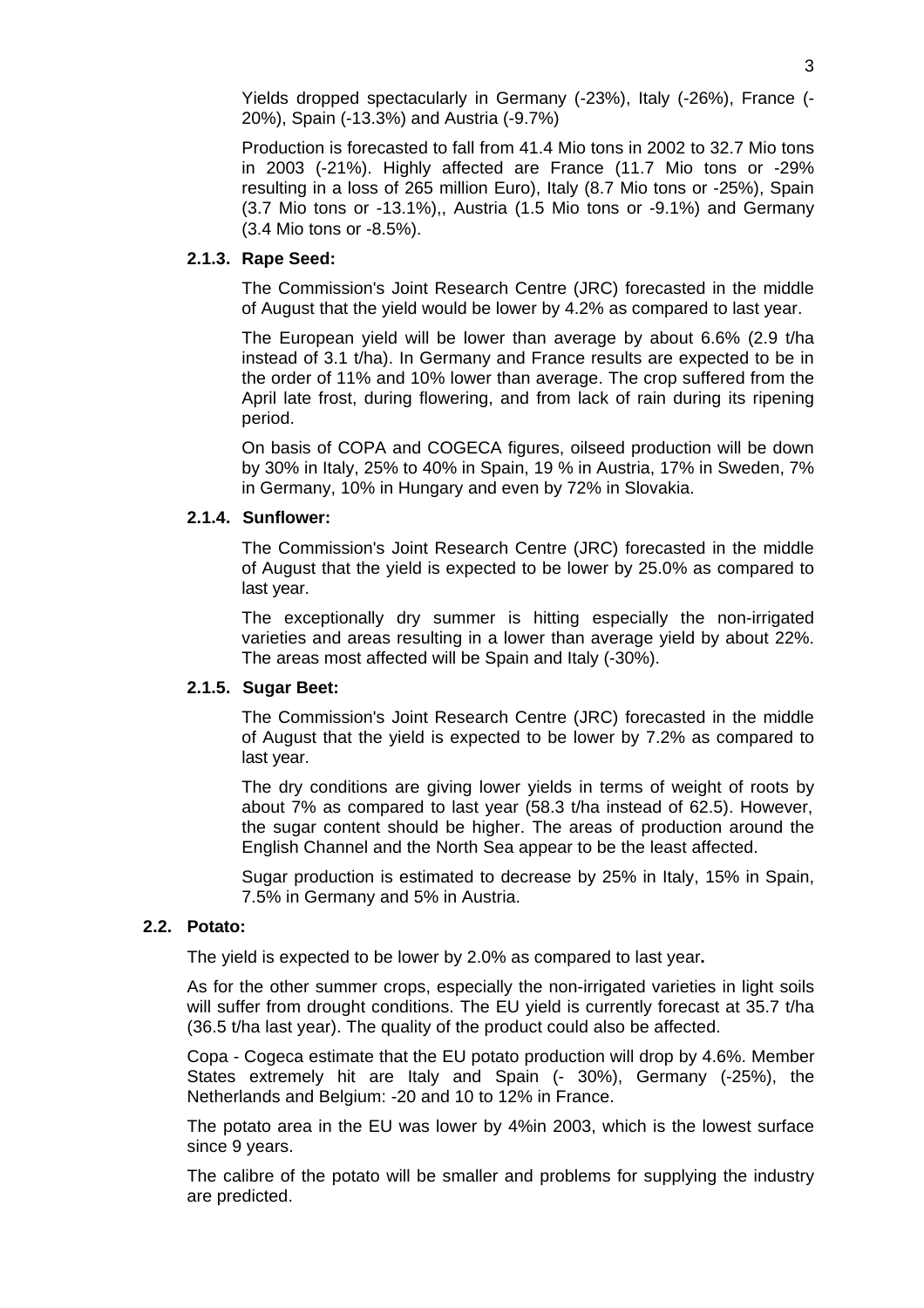Yields dropped spectacularly in Germany (-23%), Italy (-26%), France (- 20%), Spain (-13.3%) and Austria (-9.7%)

Production is forecasted to fall from 41.4 Mio tons in 2002 to 32.7 Mio tons in 2003 (-21%). Highly affected are France (11.7 Mio tons or -29% resulting in a loss of 265 million Euro), Italy (8.7 Mio tons or -25%), Spain (3.7 Mio tons or -13.1%),, Austria (1.5 Mio tons or -9.1%) and Germany (3.4 Mio tons or -8.5%).

#### **2.1.3. Rape Seed:**

The Commission's Joint Research Centre (JRC) forecasted in the middle of August that the yield would be lower by 4.2% as compared to last year.

The European yield will be lower than average by about 6.6% (2.9 t/ha instead of 3.1 t/ha). In Germany and France results are expected to be in the order of 11% and 10% lower than average. The crop suffered from the April late frost, during flowering, and from lack of rain during its ripening period.

On basis of COPA and COGECA figures, oilseed production will be down by 30% in Italy, 25% to 40% in Spain, 19 % in Austria, 17% in Sweden, 7% in Germany, 10% in Hungary and even by 72% in Slovakia.

# **2.1.4. Sunflower:**

The Commission's Joint Research Centre (JRC) forecasted in the middle of August that the yield is expected to be lower by 25.0% as compared to last year.

The exceptionally dry summer is hitting especially the non-irrigated varieties and areas resulting in a lower than average yield by about 22%. The areas most affected will be Spain and Italy (-30%).

#### **2.1.5. Sugar Beet:**

The Commission's Joint Research Centre (JRC) forecasted in the middle of August that the yield is expected to be lower by 7.2% as compared to last year.

The dry conditions are giving lower yields in terms of weight of roots by about 7% as compared to last year (58.3 t/ha instead of 62.5). However, the sugar content should be higher. The areas of production around the English Channel and the North Sea appear to be the least affected.

Sugar production is estimated to decrease by 25% in Italy, 15% in Spain, 7.5% in Germany and 5% in Austria.

#### **2.2. Potato:**

The yield is expected to be lower by 2.0% as compared to last year**.**

As for the other summer crops, especially the non-irrigated varieties in light soils will suffer from drought conditions. The EU yield is currently forecast at 35.7 t/ha (36.5 t/ha last year). The quality of the product could also be affected.

Copa - Cogeca estimate that the EU potato production will drop by 4.6%. Member States extremely hit are Italy and Spain (- 30%), Germany (-25%), the Netherlands and Belgium: -20 and 10 to 12% in France.

The potato area in the EU was lower by 4%in 2003, which is the lowest surface since 9 years.

The calibre of the potato will be smaller and problems for supplying the industry are predicted.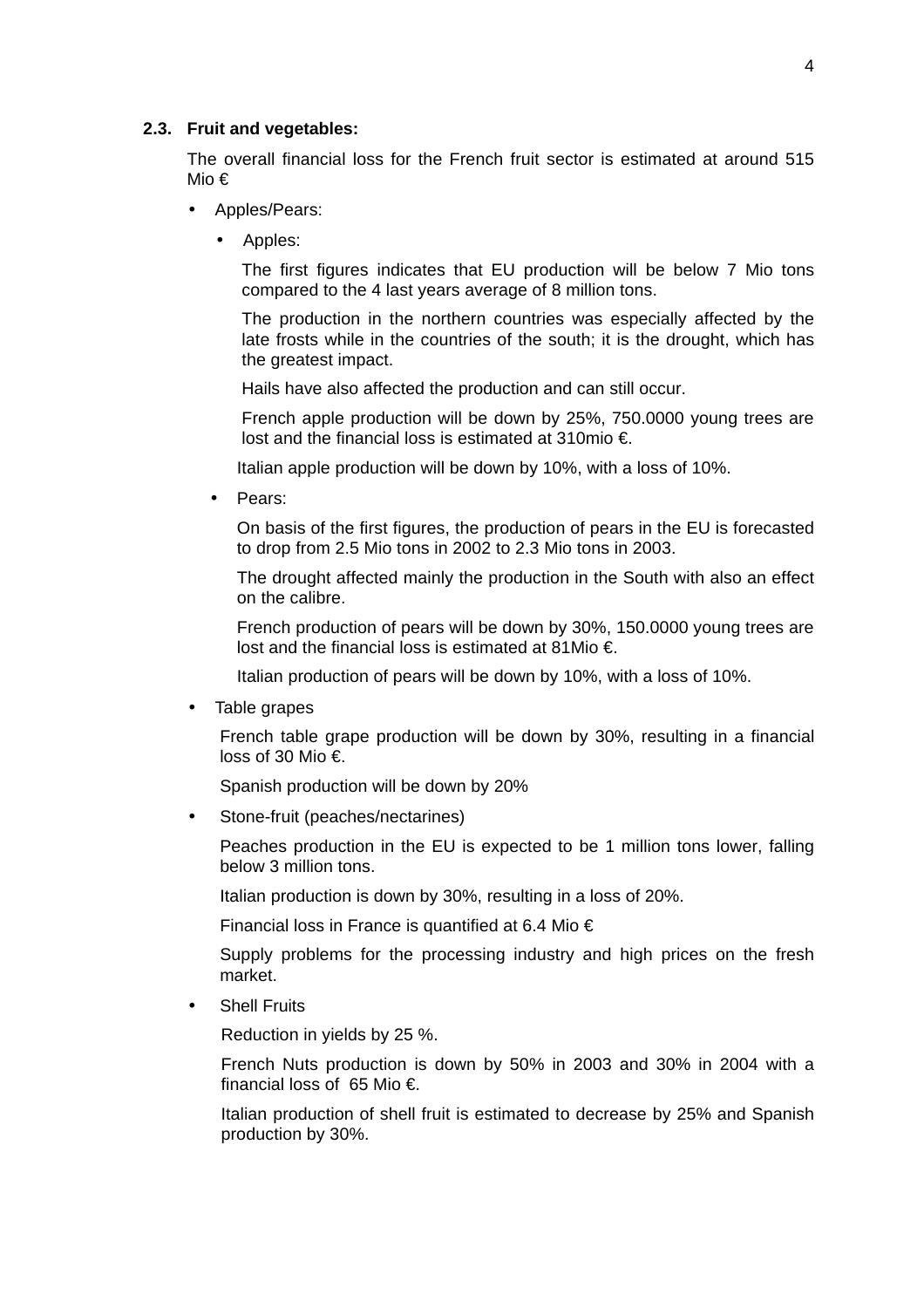#### **2.3. Fruit and vegetables:**

The overall financial loss for the French fruit sector is estimated at around 515 Mio €

- Apples/Pears:
	- Apples:

The first figures indicates that EU production will be below 7 Mio tons compared to the 4 last years average of 8 million tons.

The production in the northern countries was especially affected by the late frosts while in the countries of the south; it is the drought, which has the greatest impact.

Hails have also affected the production and can still occur.

French apple production will be down by 25%, 750.0000 young trees are lost and the financial loss is estimated at 310mio €.

Italian apple production will be down by 10%, with a loss of 10%.

• Pears:

On basis of the first figures, the production of pears in the EU is forecasted to drop from 2.5 Mio tons in 2002 to 2.3 Mio tons in 2003.

The drought affected mainly the production in the South with also an effect on the calibre.

French production of pears will be down by 30%, 150.0000 young trees are lost and the financial loss is estimated at 81Mio €.

Italian production of pears will be down by 10%, with a loss of 10%.

• Table grapes

French table grape production will be down by 30%, resulting in a financial loss of 30 Mio €.

Spanish production will be down by 20%

• Stone-fruit (peaches/nectarines)

Peaches production in the EU is expected to be 1 million tons lower, falling below 3 million tons.

Italian production is down by 30%, resulting in a loss of 20%.

Financial loss in France is quantified at 6.4 Mio €

Supply problems for the processing industry and high prices on the fresh market.

• Shell Fruits

Reduction in yields by 25 %.

French Nuts production is down by 50% in 2003 and 30% in 2004 with a financial loss of 65 Mio €.

Italian production of shell fruit is estimated to decrease by 25% and Spanish production by 30%.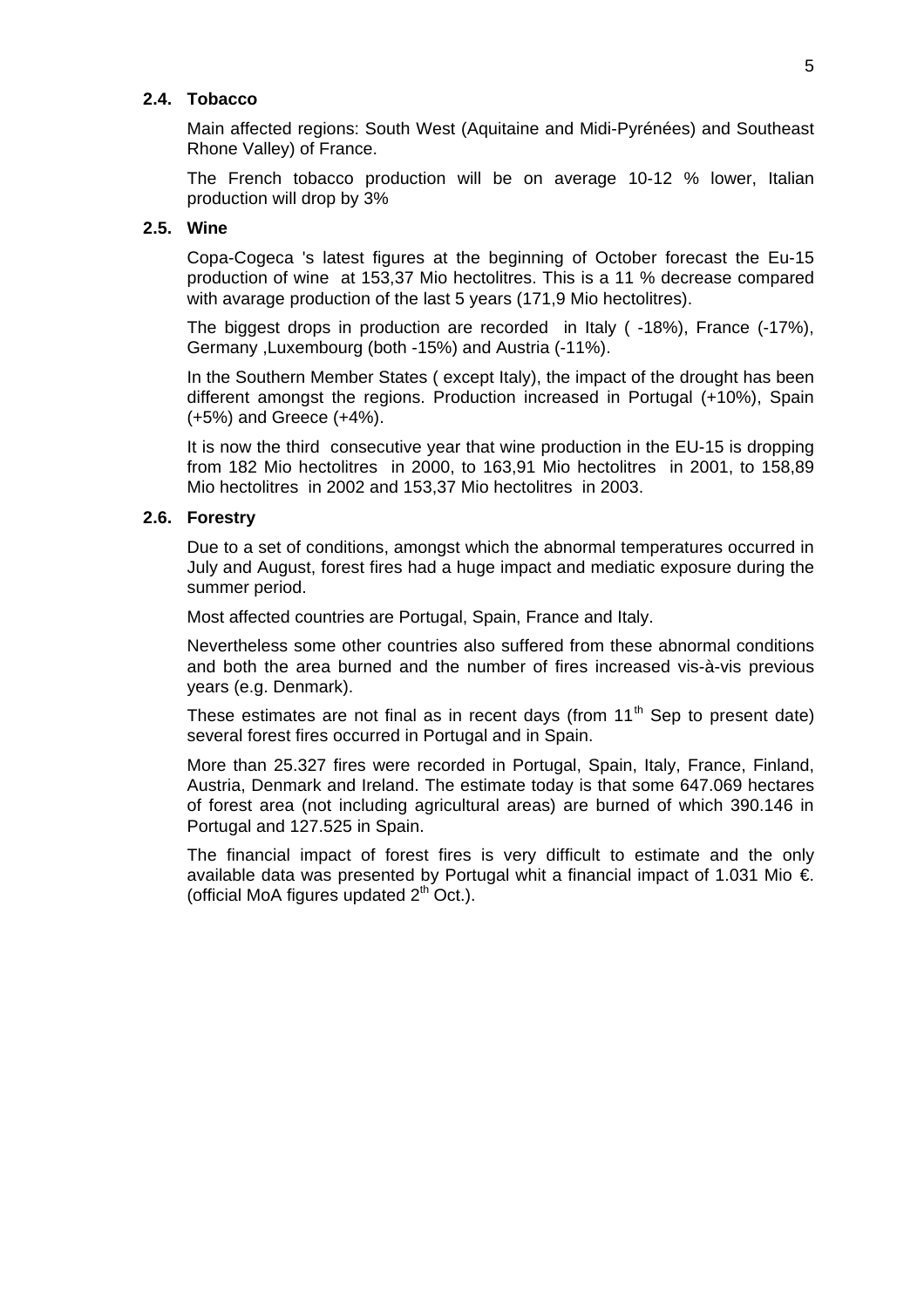# **2.4. Tobacco**

Main affected regions: South West (Aquitaine and Midi-Pyrénées) and Southeast Rhone Valley) of France.

The French tobacco production will be on average 10-12 % lower, Italian production will drop by 3%

#### **2.5. Wine**

Copa-Cogeca 's latest figures at the beginning of October forecast the Eu-15 production of wine at 153,37 Mio hectolitres. This is a 11 % decrease compared with avarage production of the last 5 years (171,9 Mio hectolitres).

The biggest drops in production are recorded in Italy ( -18%), France (-17%), Germany ,Luxembourg (both -15%) and Austria (-11%).

In the Southern Member States ( except Italy), the impact of the drought has been different amongst the regions. Production increased in Portugal (+10%), Spain (+5%) and Greece (+4%).

It is now the third consecutive year that wine production in the EU-15 is dropping from 182 Mio hectolitres in 2000, to 163,91 Mio hectolitres in 2001, to 158,89 Mio hectolitres in 2002 and 153,37 Mio hectolitres in 2003.

# **2.6. Forestry**

Due to a set of conditions, amongst which the abnormal temperatures occurred in July and August, forest fires had a huge impact and mediatic exposure during the summer period.

Most affected countries are Portugal, Spain, France and Italy.

Nevertheless some other countries also suffered from these abnormal conditions and both the area burned and the number of fires increased vis-à-vis previous years (e.g. Denmark).

These estimates are not final as in recent days (from  $11<sup>th</sup>$  Sep to present date) several forest fires occurred in Portugal and in Spain.

More than 25.327 fires were recorded in Portugal, Spain, Italy, France, Finland, Austria, Denmark and Ireland. The estimate today is that some 647.069 hectares of forest area (not including agricultural areas) are burned of which 390.146 in Portugal and 127.525 in Spain.

The financial impact of forest fires is very difficult to estimate and the only available data was presented by Portugal whit a financial impact of 1.031 Mio  $\epsilon$ . (official MoA figures updated  $2<sup>th</sup>$  Oct.).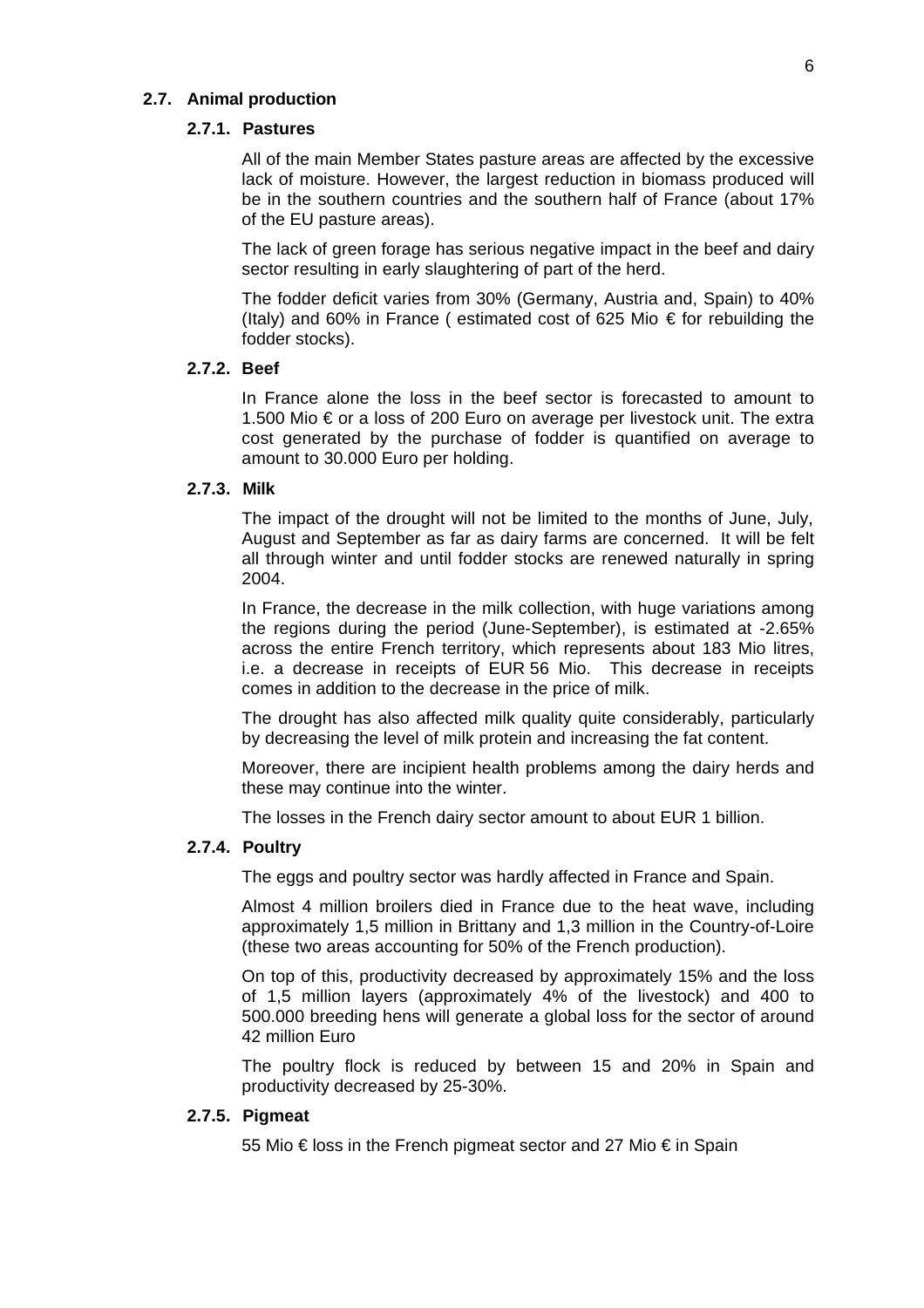# **2.7. Animal production**

#### **2.7.1. Pastures**

All of the main Member States pasture areas are affected by the excessive lack of moisture. However, the largest reduction in biomass produced will be in the southern countries and the southern half of France (about 17% of the EU pasture areas).

The lack of green forage has serious negative impact in the beef and dairy sector resulting in early slaughtering of part of the herd.

The fodder deficit varies from 30% (Germany, Austria and, Spain) to 40% (Italy) and 60% in France ( estimated cost of 625 Mio € for rebuilding the fodder stocks).

# **2.7.2. Beef**

In France alone the loss in the beef sector is forecasted to amount to 1.500 Mio € or a loss of 200 Euro on average per livestock unit. The extra cost generated by the purchase of fodder is quantified on average to amount to 30.000 Euro per holding.

#### **2.7.3. Milk**

The impact of the drought will not be limited to the months of June, July, August and September as far as dairy farms are concerned. It will be felt all through winter and until fodder stocks are renewed naturally in spring 2004.

In France, the decrease in the milk collection, with huge variations among the regions during the period (June-September), is estimated at -2.65% across the entire French territory, which represents about 183 Mio litres, i.e. a decrease in receipts of EUR 56 Mio. This decrease in receipts comes in addition to the decrease in the price of milk.

The drought has also affected milk quality quite considerably, particularly by decreasing the level of milk protein and increasing the fat content.

Moreover, there are incipient health problems among the dairy herds and these may continue into the winter.

The losses in the French dairy sector amount to about EUR 1 billion.

# **2.7.4. Poultry**

The eggs and poultry sector was hardly affected in France and Spain.

Almost 4 million broilers died in France due to the heat wave, including approximately 1,5 million in Brittany and 1,3 million in the Country-of-Loire (these two areas accounting for 50% of the French production).

On top of this, productivity decreased by approximately 15% and the loss of 1,5 million layers (approximately 4% of the livestock) and 400 to 500.000 breeding hens will generate a global loss for the sector of around 42 million Euro

The poultry flock is reduced by between 15 and 20% in Spain and productivity decreased by 25-30%.

#### **2.7.5. Pigmeat**

55 Mio € loss in the French pigmeat sector and 27 Mio € in Spain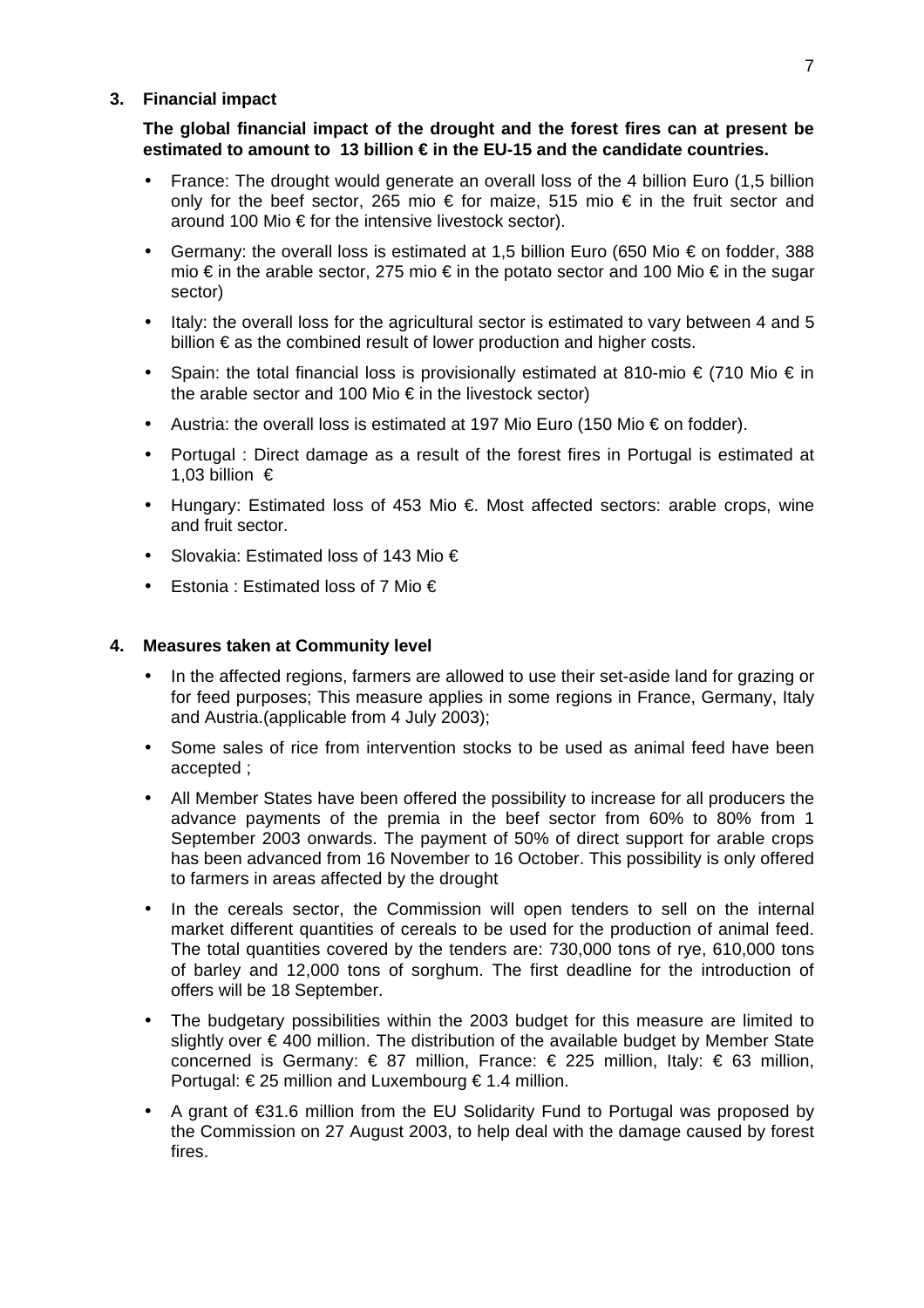# **3. Financial impact**

**The global financial impact of the drought and the forest fires can at present be estimated to amount to 13 billion € in the EU-15 and the candidate countries.**

- France: The drought would generate an overall loss of the 4 billion Euro (1.5 billion only for the beef sector, 265 mio  $\epsilon$  for maize, 515 mio  $\epsilon$  in the fruit sector and around 100 Mio € for the intensive livestock sector).
- Germany: the overall loss is estimated at 1.5 billion Euro (650 Mio  $\epsilon$  on fodder, 388 mio € in the arable sector, 275 mio € in the potato sector and 100 Mio € in the sugar sector)
- Italy: the overall loss for the agricultural sector is estimated to vary between 4 and 5 billion € as the combined result of lower production and higher costs.
- Spain: the total financial loss is provisionally estimated at 810-mio  $\epsilon$  (710 Mio  $\epsilon$  in the arable sector and 100 Mio  $\epsilon$  in the livestock sector)
- Austria: the overall loss is estimated at 197 Mio Euro (150 Mio € on fodder).
- Portugal : Direct damage as a result of the forest fires in Portugal is estimated at 1,03 billion €
- Hungary: Estimated loss of 453 Mio €. Most affected sectors: arable crops, wine and fruit sector.
- Slovakia: Estimated loss of 143 Mio €
- Estonia : Estimated loss of 7 Mio €

# **4. Measures taken at Community level**

- In the affected regions, farmers are allowed to use their set-aside land for grazing or for feed purposes; This measure applies in some regions in France, Germany, Italy and Austria.(applicable from 4 July 2003);
- Some sales of rice from intervention stocks to be used as animal feed have been accepted ;
- All Member States have been offered the possibility to increase for all producers the advance payments of the premia in the beef sector from 60% to 80% from 1 September 2003 onwards. The payment of 50% of direct support for arable crops has been advanced from 16 November to 16 October. This possibility is only offered to farmers in areas affected by the drought
- In the cereals sector, the Commission will open tenders to sell on the internal market different quantities of cereals to be used for the production of animal feed. The total quantities covered by the tenders are: 730,000 tons of rye, 610,000 tons of barley and 12,000 tons of sorghum. The first deadline for the introduction of offers will be 18 September.
- The budgetary possibilities within the 2003 budget for this measure are limited to slightly over € 400 million. The distribution of the available budget by Member State concerned is Germany: € 87 million, France: € 225 million, Italy: € 63 million, Portugal:  $\epsilon$  25 million and Luxembourg  $\epsilon$  1.4 million.
- A grant of €31.6 million from the EU Solidarity Fund to Portugal was proposed by the Commission on 27 August 2003, to help deal with the damage caused by forest fires.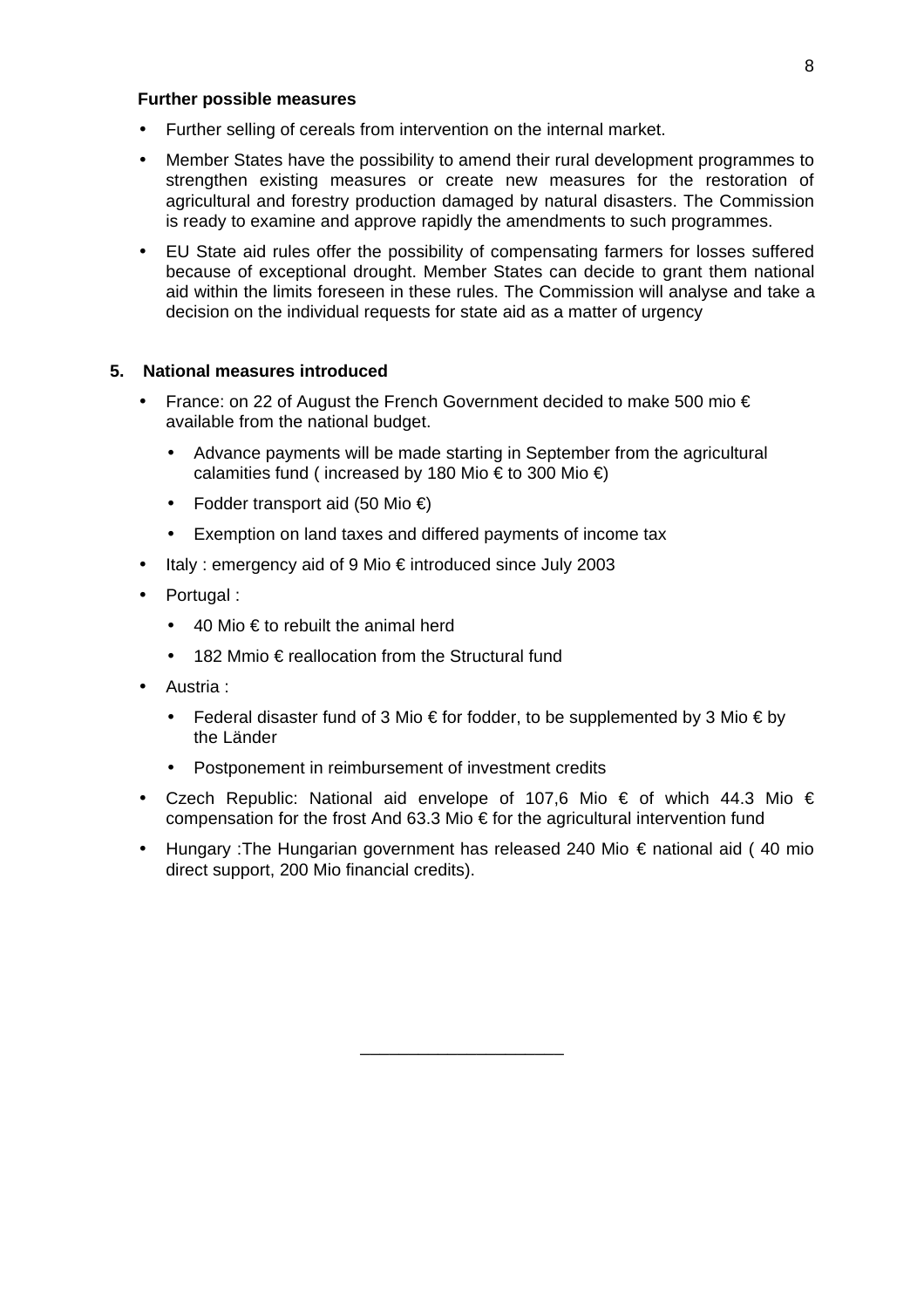# **Further possible measures**

- Further selling of cereals from intervention on the internal market.
- Member States have the possibility to amend their rural development programmes to strengthen existing measures or create new measures for the restoration of agricultural and forestry production damaged by natural disasters. The Commission is ready to examine and approve rapidly the amendments to such programmes.
- EU State aid rules offer the possibility of compensating farmers for losses suffered because of exceptional drought. Member States can decide to grant them national aid within the limits foreseen in these rules. The Commission will analyse and take a decision on the individual requests for state aid as a matter of urgency

# **5. National measures introduced**

- France: on 22 of August the French Government decided to make 500 mio  $\epsilon$ available from the national budget.
	- Advance payments will be made starting in September from the agricultural calamities fund ( increased by 180 Mio  $\epsilon$  to 300 Mio  $\epsilon$ )
	- Fodder transport aid (50 Mio €)
	- Exemption on land taxes and differed payments of income tax
- Italy : emergency aid of 9 Mio € introduced since July 2003
- Portugal :
	- 40 Mio  $\epsilon$  to rebuilt the animal herd
	- 182 Mmio  $\epsilon$  reallocation from the Structural fund
- Austria :
	- Federal disaster fund of 3 Mio € for fodder, to be supplemented by 3 Mio € by the Länder
	- Postponement in reimbursement of investment credits
- Czech Republic: National aid envelope of 107,6 Mio € of which 44.3 Mio € compensation for the frost And 63.3 Mio € for the agricultural intervention fund
- Hungary :The Hungarian government has released 240 Mio € national aid ( 40 mio direct support, 200 Mio financial credits).

\_\_\_\_\_\_\_\_\_\_\_\_\_\_\_\_\_\_\_\_\_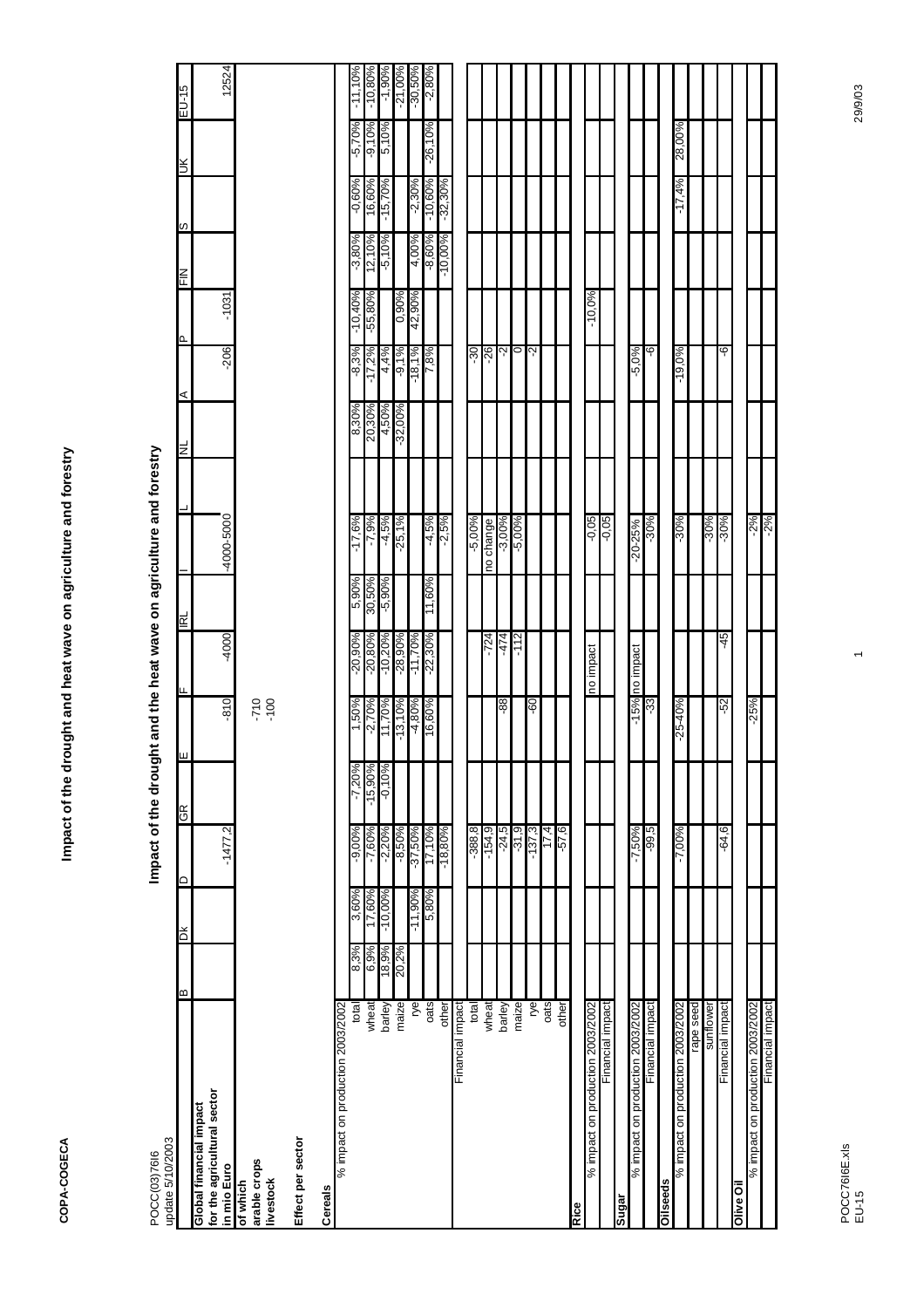г

| update 5/10/2003<br>POCC(03)7616                                      |              |                 | Impact of the drou    |                        |                   |                        |                  | ght and the heat wave on agriculture and forestry |                 |                     |                        |                    |                         |                      |                        |
|-----------------------------------------------------------------------|--------------|-----------------|-----------------------|------------------------|-------------------|------------------------|------------------|---------------------------------------------------|-----------------|---------------------|------------------------|--------------------|-------------------------|----------------------|------------------------|
|                                                                       | ≃            | ă               | $\Box$                | ш<br><b>GR</b>         |                   |                        | ΠRL              |                                                   | ΠN              | ⋖                   | ൨                      | S<br>ΕN            |                         | $\leq$               | EU-15                  |
| for the agricultural sector<br>Global financial impact<br>in mio Euro |              |                 | $-1477,2$             |                        | $-810$            | -4000                  |                  | -4000-5000                                        |                 | $-206$              | $-1031$                |                    |                         |                      | 12524                  |
| arable crops<br><b>livestock</b><br>of which                          |              |                 |                       |                        | $-710$<br>$-100$  |                        |                  |                                                   |                 |                     |                        |                    |                         |                      |                        |
| Effect per sector                                                     |              |                 |                       |                        |                   |                        |                  |                                                   |                 |                     |                        |                    |                         |                      |                        |
| Cereals                                                               |              |                 |                       |                        |                   |                        |                  |                                                   |                 |                     |                        |                    |                         |                      |                        |
| % impact on production 2003/2002                                      |              |                 |                       |                        |                   |                        |                  |                                                   |                 |                     |                        |                    |                         |                      |                        |
| wheat<br>total                                                        | 6,9%<br>8,3% | 3,60%<br>17,60% | $-9,00\%$<br>$-7,60%$ | $-7,20\%$<br>$-15,90%$ | 1,50%<br>$-2,70%$ | $-20,90%$<br>$-20,80%$ | 9606'S<br>30,50% | $-17,6%$<br>$-7,9%$                               | 20,30%<br>8,30% | $-8,3%$<br>$-17,2%$ | $-10,40%$<br>$-55,80%$ | 12,10%<br>$-3,80%$ | 16,60%<br>$-0,60%$      | $-9,10%$<br>$-5,70%$ | $-11,10%$<br>$-10,80%$ |
| barley                                                                | 18,9%        | $-10,00%$       | $-2,20%$              | $-0,10%$               | 11,70%            | $-10,20%$              | $-5,90\%$        | $-4,5%$                                           | 9605' +         | 4,4%                |                        | $-5,10%$           | $-15,70%$               | 5,10%                | $-1,90%$               |
| maize                                                                 | 20,2%        |                 | $-8,50%$              |                        | $-13,10%$         | $-28,90%$              |                  | $-25,1%$                                          | $-32,00%$       | $-9,1%$             | 0,90%                  |                    |                         |                      | $-21,00%$              |
| rуе                                                                   |              | $-11,90%$       | $-37,50%$             |                        | $-4,80%$          | $-11,70%$              |                  |                                                   |                 | $-18,1%$            | 42,90%                 | 4,00%              |                         |                      | $-30,50%$              |
| oats                                                                  |              | 5,80%           | 17,10%                |                        | 16,00%            | $-22,30%$              | 11,60%           | -4,5%<br>-2,5%                                    |                 | 7,8%                |                        | $-8,60%$           | $-2,30\%$<br>$-10,60\%$ | $-26,10%$            | $-2,80%$               |
| other                                                                 |              |                 | $-18,80%$             |                        |                   |                        |                  |                                                   |                 |                     |                        | $-10,00%$          | $-32,30%$               |                      |                        |
| Financial impact                                                      |              |                 |                       |                        |                   |                        |                  |                                                   |                 |                     |                        |                    |                         |                      |                        |
| total                                                                 |              |                 | $-388, 8$             |                        |                   |                        |                  | $-5,00\%$                                         |                 | $-30$               |                        |                    |                         |                      |                        |
| wheat                                                                 |              |                 | $-154,9$              |                        |                   | $-724$                 |                  | no change                                         |                 | -26                 |                        |                    |                         |                      |                        |
| barley                                                                |              |                 | $-24,5$               |                        | 88-               | 174                    |                  | $-3,00\%$                                         |                 | ۰2                  |                        |                    |                         |                      |                        |
| maize                                                                 |              |                 | $-31,9$               |                        |                   | $-112$                 |                  | $-5,00\%$                                         |                 | 0                   |                        |                    |                         |                      |                        |
| ŗе                                                                    |              |                 | $-137,3$              |                        | $-60$             |                        |                  |                                                   |                 | -2                  |                        |                    |                         |                      |                        |
| oats                                                                  |              |                 | 17.4                  |                        |                   |                        |                  |                                                   |                 |                     |                        |                    |                         |                      |                        |
| other                                                                 |              |                 | $-57,6$               |                        |                   |                        |                  |                                                   |                 |                     |                        |                    |                         |                      |                        |
| Rice                                                                  |              |                 |                       |                        |                   |                        |                  |                                                   |                 |                     |                        |                    |                         |                      |                        |
| % impact on production 2003/2002                                      |              |                 |                       |                        |                   | no impact              |                  | -0,05                                             |                 |                     | $-10,0\%$              |                    |                         |                      |                        |
| Financial impact                                                      |              |                 |                       |                        |                   |                        |                  | $-0,05$                                           |                 |                     |                        |                    |                         |                      |                        |
| Sugar                                                                 |              |                 |                       |                        |                   |                        |                  |                                                   |                 |                     |                        |                    |                         |                      |                        |
| % impact on production 2003/2002                                      |              |                 | $-7,50\%$             |                        |                   | -15% no impact         |                  | $-20 - 25%$                                       |                 | $-5,0%$             |                        |                    |                         |                      |                        |
| Financial impact                                                      |              |                 | $-99,5$               |                        | -33               |                        |                  | $-30%$                                            |                 | ؋                   |                        |                    |                         |                      |                        |
| Oilseeds                                                              |              |                 |                       |                        |                   |                        |                  |                                                   |                 |                     |                        |                    |                         |                      |                        |
| % impact on production 2003/2002                                      |              |                 | $-7,00\%$             |                        | $-25 - 40%$       |                        |                  | $-30%$                                            |                 | $-19,0%$            |                        |                    | $-17,4%$                | 28,00%               |                        |
| pees edea                                                             |              |                 |                       |                        |                   |                        |                  |                                                   |                 |                     |                        |                    |                         |                      |                        |
| sunflower                                                             |              |                 |                       |                        |                   |                        |                  | $-30%$                                            |                 |                     |                        |                    |                         |                      |                        |
| Financial impact                                                      |              |                 | -64,6                 |                        | $-52$             | -45                    |                  | $-30%$                                            |                 | ؋                   |                        |                    |                         |                      |                        |
| Olive Oi                                                              |              |                 |                       |                        |                   |                        |                  |                                                   |                 |                     |                        |                    |                         |                      |                        |
| % impact on production 2003/2002                                      |              |                 |                       |                        | $-25%$            |                        |                  | $-2%$                                             |                 |                     |                        |                    |                         |                      |                        |

. . . . . . . . . . . . .

Г

Financial impact -2%

inancial impact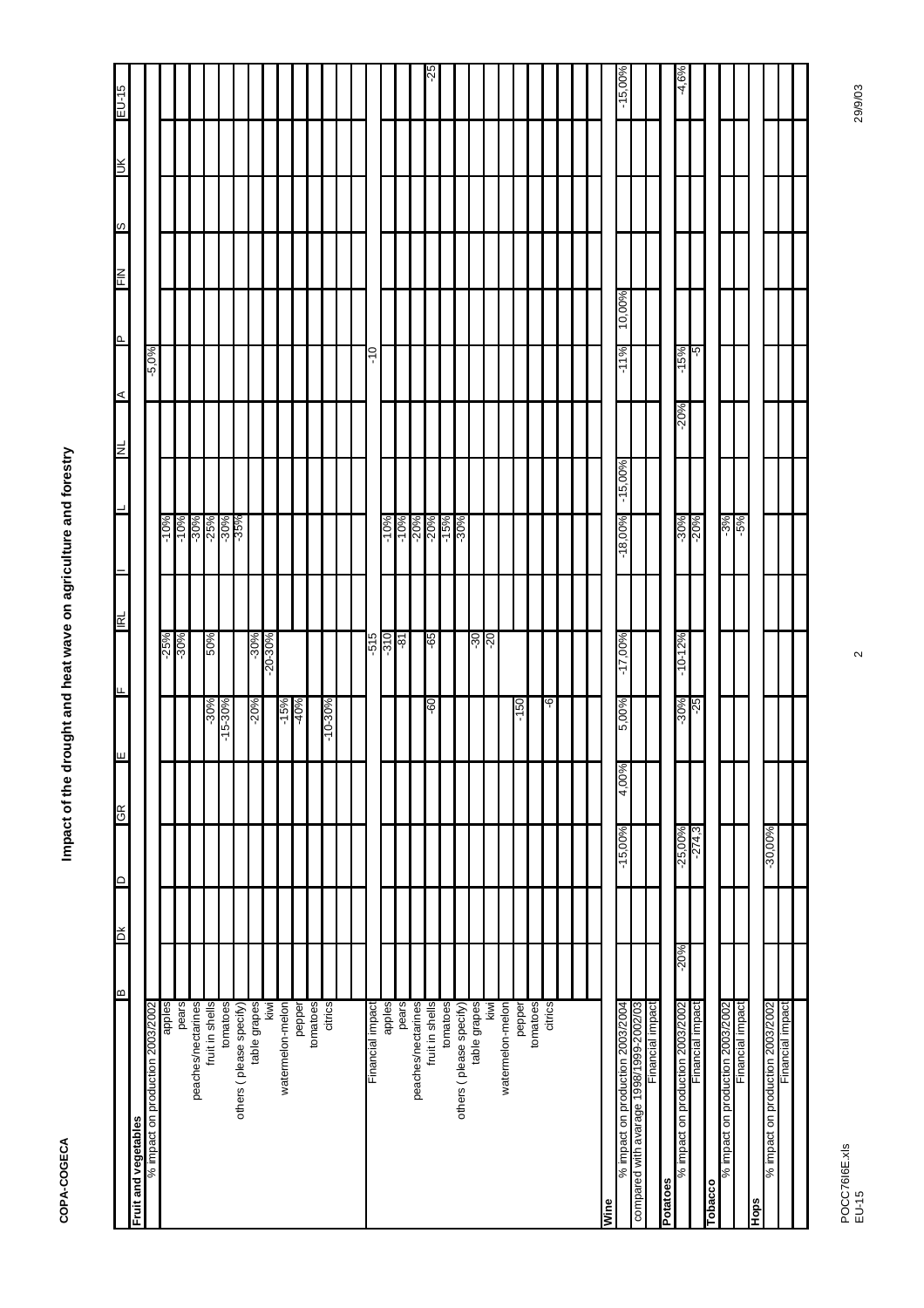|                                         | a      | ЖQ | $\circ$ | æ         | ш     |             | ட                 | 힡 |                      |            | E      | $\prec$ | Iٍ م   | 즏 | $\infty$ | Ж | $EU-15$   |
|-----------------------------------------|--------|----|---------|-----------|-------|-------------|-------------------|---|----------------------|------------|--------|---------|--------|---|----------|---|-----------|
| Fruit and vegetables                    |        |    |         |           |       |             |                   |   |                      |            |        |         |        |   |          |   |           |
| % impact on production 2003/2002        |        |    |         |           |       |             |                   |   |                      |            |        | $-5,0%$ |        |   |          |   |           |
| apples                                  |        |    |         |           |       |             | $-25%$            |   | $-10%$               |            |        |         |        |   |          |   |           |
| pears                                   |        |    |         |           |       |             | $-30%$            |   | $-10%$               |            |        |         |        |   |          |   |           |
| peaches/nectarines                      |        |    |         |           |       |             |                   |   | $-30%$               |            |        |         |        |   |          |   |           |
| fruit in shells                         |        |    |         |           |       | $-30%$      | 50%               |   | $-25%$               |            |        |         |        |   |          |   |           |
| tomatoes                                |        |    |         |           |       | 15-30%<br>7 |                   |   | -30%<br>-35%         |            |        |         |        |   |          |   |           |
| others (please specify)                 |        |    |         |           |       |             |                   |   |                      |            |        |         |        |   |          |   |           |
| table grapes                            |        |    |         |           |       | $-20%$      | $-30%$            |   |                      |            |        |         |        |   |          |   |           |
| kiwi                                    |        |    |         |           |       |             | $-20-30%$         |   |                      |            |        |         |        |   |          |   |           |
| watermelon-melon                        |        |    |         |           |       | $-15%$      |                   |   |                      |            |        |         |        |   |          |   |           |
| pepper                                  |        |    |         |           |       | $-40%$      |                   |   |                      |            |        |         |        |   |          |   |           |
| tomatoes                                |        |    |         |           |       |             |                   |   |                      |            |        |         |        |   |          |   |           |
| citrics                                 |        |    |         |           |       | $-10-30%$   |                   |   |                      |            |        |         |        |   |          |   |           |
|                                         |        |    |         |           |       |             |                   |   |                      |            |        |         |        |   |          |   |           |
|                                         |        |    |         |           |       |             |                   |   |                      |            |        |         |        |   |          |   |           |
| Financial impact                        |        |    |         |           |       |             | 5<br>Ļ            |   |                      |            |        | っ<br>٢  |        |   |          |   |           |
| apples                                  |        |    |         |           |       |             | $-310$            |   | $-10%$               |            |        |         |        |   |          |   |           |
| pears                                   |        |    |         |           |       |             | -81               |   | $-10%$               |            |        |         |        |   |          |   |           |
| peaches/nectarines                      |        |    |         |           |       |             |                   |   |                      |            |        |         |        |   |          |   |           |
| fruit in shells                         |        |    |         |           |       |             |                   |   | -20%<br>-20%<br>-15% |            |        |         |        |   |          |   |           |
|                                         |        |    |         |           |       | 09-         | -65               |   |                      |            |        |         |        |   |          |   | 52-       |
| tomatoes                                |        |    |         |           |       |             |                   |   |                      |            |        |         |        |   |          |   |           |
| others (please specify)                 |        |    |         |           |       |             |                   |   | $-30%$               |            |        |         |        |   |          |   |           |
| table grapes                            |        |    |         |           |       |             | $\frac{-30}{-20}$ |   |                      |            |        |         |        |   |          |   |           |
| kiwi                                    |        |    |         |           |       |             |                   |   |                      |            |        |         |        |   |          |   |           |
| watermelon-melon                        |        |    |         |           |       |             |                   |   |                      |            |        |         |        |   |          |   |           |
| pepper                                  |        |    |         |           |       | 09.         |                   |   |                      |            |        |         |        |   |          |   |           |
| tomatoes                                |        |    |         |           |       |             |                   |   |                      |            |        |         |        |   |          |   |           |
| citrics                                 |        |    |         |           |       | ပှ          |                   |   |                      |            |        |         |        |   |          |   |           |
|                                         |        |    |         |           |       |             |                   |   |                      |            |        |         |        |   |          |   |           |
|                                         |        |    |         |           |       |             |                   |   |                      |            |        |         |        |   |          |   |           |
| Wine                                    |        |    |         |           |       |             |                   |   |                      |            |        |         |        |   |          |   |           |
| % impact on production 2003/2004        |        |    |         | $-15,00%$ | 4,00% | 5,00%       | $-17,00%$         |   | $-18,00%$            | $-15,00\%$ |        | %1<br>7 | 10,00% |   |          |   | $-15,00%$ |
| compared with avarage 1998/1999-2002/03 |        |    |         |           |       |             |                   |   |                      |            |        |         |        |   |          |   |           |
| Financial impact                        |        |    |         |           |       |             |                   |   |                      |            |        |         |        |   |          |   |           |
| Potatoes                                |        |    |         |           |       |             |                   |   |                      |            |        |         |        |   |          |   |           |
| % impact on production 2003/2002        | $-20%$ |    |         | $-25,00%$ |       | $-30%$      | $-10-12%$         |   | $-30%$               |            | $-20%$ | 5%<br>۳ |        |   |          |   | $-4,6%$   |
| Financial impact                        |        |    |         | $-274,3$  |       | -25         |                   |   | $-20%$               |            |        | -5      |        |   |          |   |           |
| Tobacco                                 |        |    |         |           |       |             |                   |   |                      |            |        |         |        |   |          |   |           |
| % impact on production 2003/2002        |        |    |         |           |       |             |                   |   | $-3%$                |            |        |         |        |   |          |   |           |
| Financial impact                        |        |    |         |           |       |             |                   |   | %9-                  |            |        |         |        |   |          |   |           |
| Hops                                    |        |    |         |           |       |             |                   |   |                      |            |        |         |        |   |          |   |           |
| % impact on production 2003/2002        |        |    |         | $-30,00%$ |       |             |                   |   |                      |            |        |         |        |   |          |   |           |
| Financial impact                        |        |    |         |           |       |             |                   |   |                      |            |        |         |        |   |          |   |           |
|                                         |        |    |         |           |       |             |                   |   |                      |            |        |         |        |   |          |   |           |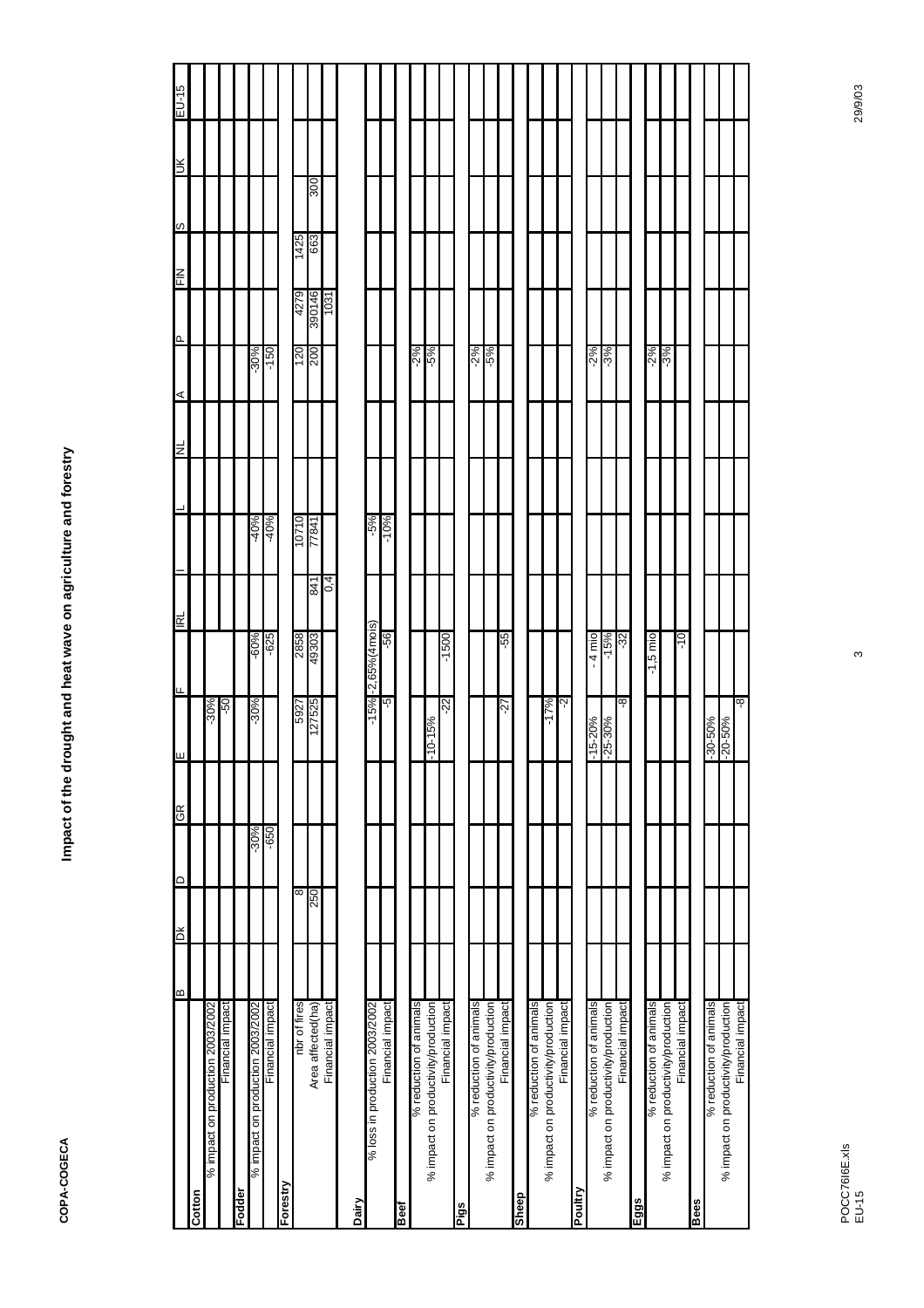|                                     | a | ЖQ  | $\circ$ | ЭĐ     | ш            |                           | TBI                               |     |        | ЛN | ⋖ | Q.     |        | w<br>NIE |            | $\gtrsim$ | $S$ l-N <sub>3</sub> |
|-------------------------------------|---|-----|---------|--------|--------------|---------------------------|-----------------------------------|-----|--------|----|---|--------|--------|----------|------------|-----------|----------------------|
| Cotton                              |   |     |         |        |              |                           |                                   |     |        |    |   |        |        |          |            |           |                      |
| % impact on production 2003/2002    |   |     |         |        |              | $-30\%$                   |                                   |     |        |    |   |        |        |          |            |           |                      |
| Financial impact                    |   |     |         |        |              | -50                       |                                   |     |        |    |   |        |        |          |            |           |                      |
| Fodder                              |   |     |         |        |              |                           |                                   |     |        |    |   |        |        |          |            |           |                      |
| % impact on production 2003/2002    |   |     |         | $-30%$ |              | $-30%$                    | $-60%$                            |     | $-40%$ |    |   | $-30%$ |        |          |            |           |                      |
| Financial impact                    |   |     |         | $-650$ |              |                           | $-625$                            |     | $-40%$ |    |   | $-150$ |        |          |            |           |                      |
| Forestry                            |   |     |         |        |              |                           |                                   |     |        |    |   |        |        |          |            |           |                      |
| nbr of fires                        |   | ∞   |         |        |              | 5927                      | 2858                              |     | 10710  |    |   | 120    | 4279   | 1425     |            |           |                      |
| Area affected(ha)                   |   | 092 |         |        |              | 127525                    | 49303                             | 841 | 1781   |    |   | 200    | 390146 | 663      | <b>OOE</b> |           |                      |
| Financial impact                    |   |     |         |        |              |                           |                                   | 0,4 |        |    |   |        | 1031   |          |            |           |                      |
| Dairy                               |   |     |         |        |              |                           |                                   |     |        |    |   |        |        |          |            |           |                      |
| % loss in production 2003/2002      |   |     |         |        |              | $-15\%$ $-2,65\%$ (4mois) |                                   |     | %5-    |    |   |        |        |          |            |           |                      |
| Financial impact                    |   |     |         |        |              | ပ္ပ္                      | -56                               |     | $-10%$ |    |   |        |        |          |            |           |                      |
| Beef                                |   |     |         |        |              |                           |                                   |     |        |    |   |        |        |          |            |           |                      |
| % reduction of animals              |   |     |         |        |              |                           |                                   |     |        |    |   | $-2%$  |        |          |            |           |                      |
| % impact on productivity/production |   |     |         |        | $-10-15%$    |                           |                                   |     |        |    |   | $-5\%$ |        |          |            |           |                      |
| Financial impact                    |   |     |         |        |              | -22                       | $-1500$                           |     |        |    |   |        |        |          |            |           |                      |
| Pigs                                |   |     |         |        |              |                           |                                   |     |        |    |   |        |        |          |            |           |                      |
| % reduction of animals              |   |     |         |        |              |                           |                                   |     |        |    |   | $2\%$  |        |          |            |           |                      |
| % impact on productivity/production |   |     |         |        |              |                           |                                   |     |        |    |   | $-5\%$ |        |          |            |           |                      |
| Financial impact                    |   |     |         |        |              | -27                       | -55                               |     |        |    |   |        |        |          |            |           |                      |
| <b>Sheep</b>                        |   |     |         |        |              |                           |                                   |     |        |    |   |        |        |          |            |           |                      |
| % reduction of animals              |   |     |         |        |              |                           |                                   |     |        |    |   |        |        |          |            |           |                      |
| % impact on productivity/production |   |     |         |        |              | $-17%$                    |                                   |     |        |    |   |        |        |          |            |           |                      |
| Financial impact                    |   |     |         |        |              | ਲ਼                        |                                   |     |        |    |   |        |        |          |            |           |                      |
| Poultry                             |   |     |         |        |              |                           |                                   |     |        |    |   |        |        |          |            |           |                      |
| % reduction of animals              |   |     |         |        | $-15 - 20%$  |                           | $4 \text{mi}$ o<br>$\blacksquare$ |     |        |    |   | $-2%$  |        |          |            |           |                      |
| % impact on productivity/production |   |     |         |        | $-25 - 30%$  |                           | 5%<br>Т                           |     |        |    |   | $-3%$  |        |          |            |           |                      |
| Financial impact                    |   |     |         |        |              | စု                        | -32                               |     |        |    |   |        |        |          |            |           |                      |
| Eggs                                |   |     |         |        |              |                           |                                   |     |        |    |   |        |        |          |            |           |                      |
| % reduction of animals              |   |     |         |        |              |                           | $-1,5$ mio                        |     |        |    |   | $-2%$  |        |          |            |           |                      |
| % impact on productivity/production |   |     |         |        |              |                           |                                   |     |        |    |   | $-3%$  |        |          |            |           |                      |
| Financial impact                    |   |     |         |        |              |                           | $\frac{1}{2}$                     |     |        |    |   |        |        |          |            |           |                      |
| Bees                                |   |     |         |        |              |                           |                                   |     |        |    |   |        |        |          |            |           |                      |
| % reduction of animals              |   |     |         |        | $-30 - 50%$  |                           |                                   |     |        |    |   |        |        |          |            |           |                      |
| % impact on productivity/production |   |     |         |        | $-20 - 50\%$ |                           |                                   |     |        |    |   |        |        |          |            |           |                      |
| Financial impact                    |   |     |         |        |              | -8-                       |                                   |     |        |    |   |        |        |          |            |           |                      |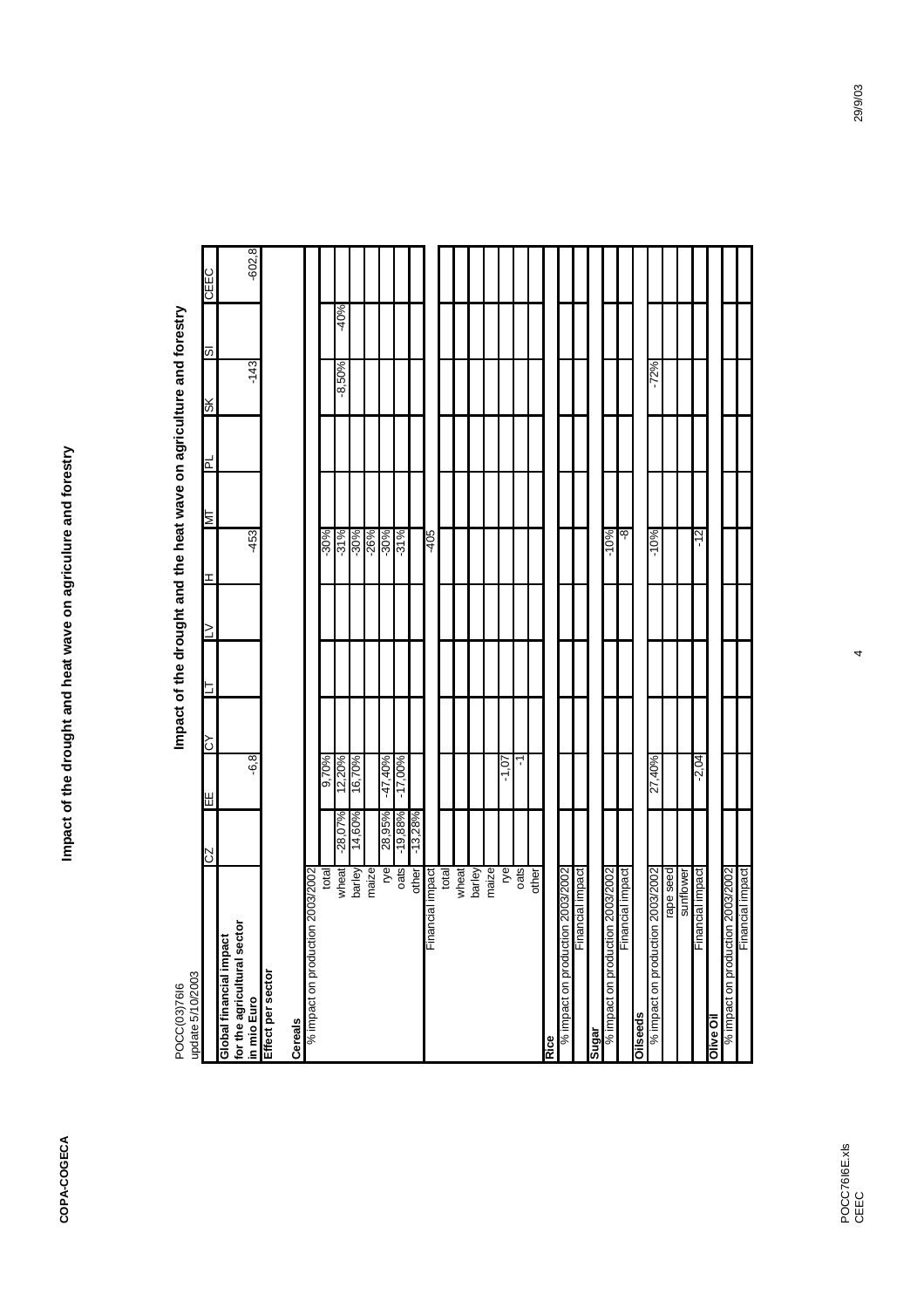| update 5/10/2003<br>POCC(03)7616           |           |            |   |   |        |        |    |   | Impact of the drought and the heat wave on agriculture and forestry |        |             |
|--------------------------------------------|-----------|------------|---|---|--------|--------|----|---|---------------------------------------------------------------------|--------|-------------|
|                                            | Z2        | ΗĒ         | ζ | 5 | $\geq$ | I      | LИ | 님 | ЖS                                                                  | 5      | <b>CEEC</b> |
| Global financial impact                    |           |            |   |   |        |        |    |   |                                                                     |        |             |
| for the agricultural sector<br>in mio Euro |           | -6.8       |   |   |        | $-453$ |    |   | $-143$                                                              |        | $-602, 8$   |
| Effect per sector                          |           |            |   |   |        |        |    |   |                                                                     |        |             |
| <b>Cereals</b>                             |           |            |   |   |        |        |    |   |                                                                     |        |             |
| % impact on production 2003/2002           |           |            |   |   |        |        |    |   |                                                                     |        |             |
| total                                      |           | 9,70%      |   |   |        | $-30%$ |    |   |                                                                     |        |             |
| wheat                                      | $-28,07%$ | 12,20%     |   |   |        | $-31%$ |    |   | $-8,50\%$                                                           | $-40%$ |             |
| barley                                     | 14,60%    | 16,70%     |   |   |        | $-30%$ |    |   |                                                                     |        |             |
| maize                                      |           |            |   |   |        | $-26%$ |    |   |                                                                     |        |             |
| ŗе                                         | 28,95%    | -47,40%    |   |   |        | $-30%$ |    |   |                                                                     |        |             |
| oats                                       | $-19,88%$ | $-17,00\%$ |   |   |        | $-31%$ |    |   |                                                                     |        |             |
| other                                      | $-13,28%$ |            |   |   |        |        |    |   |                                                                     |        |             |
| Financial impact                           |           |            |   |   |        | $-405$ |    |   |                                                                     |        |             |
| total                                      |           |            |   |   |        |        |    |   |                                                                     |        |             |
| wheat                                      |           |            |   |   |        |        |    |   |                                                                     |        |             |
| barley                                     |           |            |   |   |        |        |    |   |                                                                     |        |             |
| maize                                      |           |            |   |   |        |        |    |   |                                                                     |        |             |
| ŗе                                         |           | $-1.07$    |   |   |        |        |    |   |                                                                     |        |             |
| oats                                       |           | ٦          |   |   |        |        |    |   |                                                                     |        |             |
| other                                      |           |            |   |   |        |        |    |   |                                                                     |        |             |
| Rice                                       |           |            |   |   |        |        |    |   |                                                                     |        |             |
| % impact on production 2003/2002           |           |            |   |   |        |        |    |   |                                                                     |        |             |
| Financial impact                           |           |            |   |   |        |        |    |   |                                                                     |        |             |
| Sugar                                      |           |            |   |   |        |        |    |   |                                                                     |        |             |
| % impact on production 2003/2002           |           |            |   |   |        | $-10%$ |    |   |                                                                     |        |             |
| Financial impact                           |           |            |   |   |        | -8     |    |   |                                                                     |        |             |
| <b>Oilseeds</b>                            |           |            |   |   |        |        |    |   |                                                                     |        |             |
| % impact on production 2003/2002           |           | 27,40%     |   |   |        | $-10%$ |    |   | $-72%$                                                              |        |             |
| rape seed                                  |           |            |   |   |        |        |    |   |                                                                     |        |             |
| sunflower                                  |           |            |   |   |        |        |    |   |                                                                     |        |             |
| Financial impact                           |           | $-2,04$    |   |   |        | $-12$  |    |   |                                                                     |        |             |
| Olive Oil                                  |           |            |   |   |        |        |    |   |                                                                     |        |             |
| % impact on production 2003/2002           |           |            |   |   |        |        |    |   |                                                                     |        |             |
| Financial impact                           |           |            |   |   |        |        |    |   |                                                                     |        |             |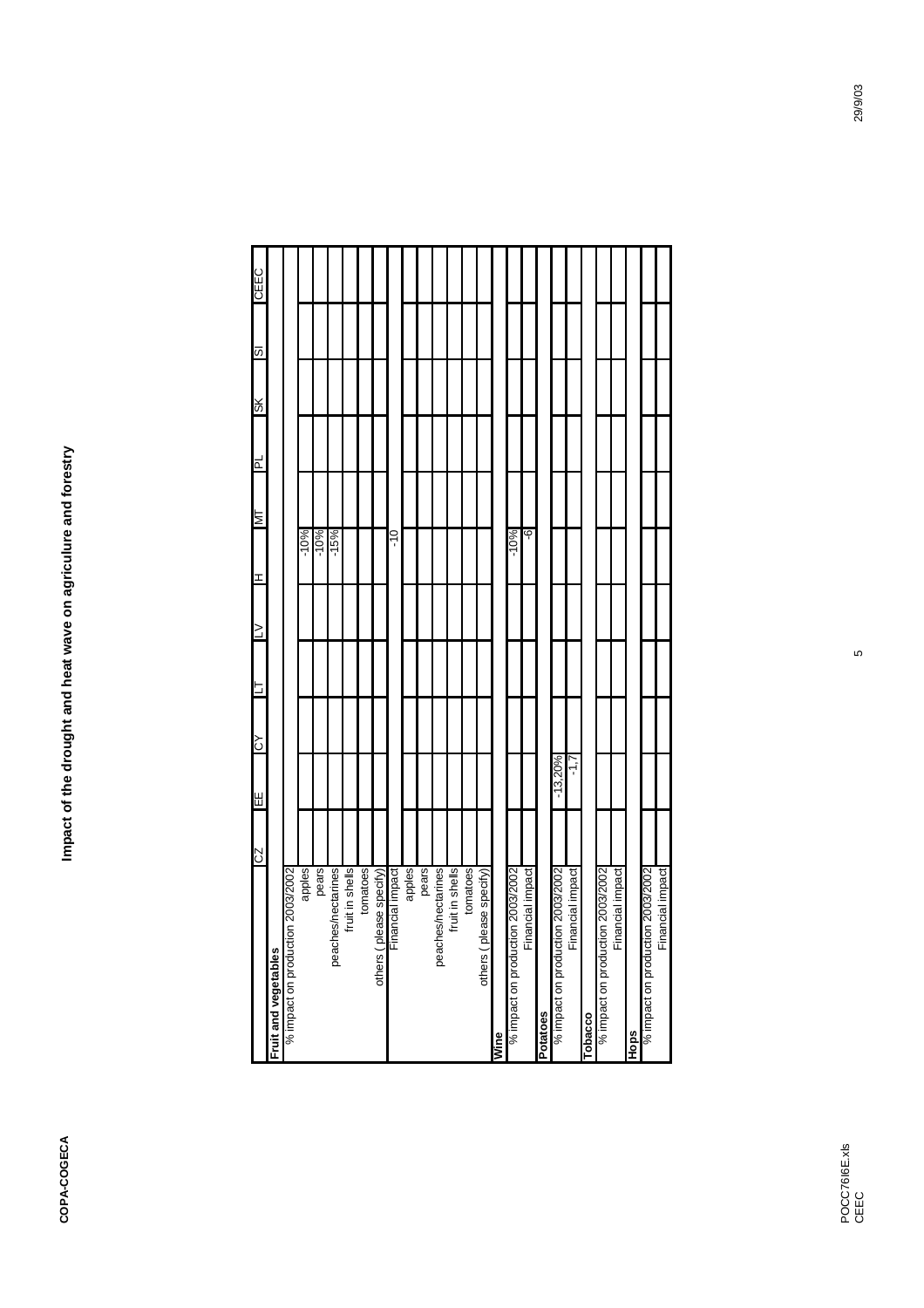|                                                                                       | ZO | 出         | λO | $\geq$ | I      | TМ | ٦d | ЖS | $\overline{\omega}$ | CEEC |
|---------------------------------------------------------------------------------------|----|-----------|----|--------|--------|----|----|----|---------------------|------|
| Fruit and vegetables                                                                  |    |           |    |        |        |    |    |    |                     |      |
| n 2003/2002<br>% impact on productic                                                  |    |           |    |        |        |    |    |    |                     |      |
|                                                                                       |    |           |    |        | $-10%$ |    |    |    |                     |      |
|                                                                                       |    |           |    |        | $-10%$ |    |    |    |                     |      |
| _apples<br>  pears<br>  pears pears<br>  peaches/nectarines<br> <br>  fruit in shells |    |           |    |        | $-15%$ |    |    |    |                     |      |
|                                                                                       |    |           |    |        |        |    |    |    |                     |      |
| tomatoes                                                                              |    |           |    |        |        |    |    |    |                     |      |
| others (please specify)                                                               |    |           |    |        |        |    |    |    |                     |      |
| Financial impact                                                                      |    |           |    |        | ە<br>7 |    |    |    |                     |      |
| apples<br>peaches/nectarines<br>peaches/nectarines                                    |    |           |    |        |        |    |    |    |                     |      |
|                                                                                       |    |           |    |        |        |    |    |    |                     |      |
|                                                                                       |    |           |    |        |        |    |    |    |                     |      |
| fruit in shells                                                                       |    |           |    |        |        |    |    |    |                     |      |
| tomatoes                                                                              |    |           |    |        |        |    |    |    |                     |      |
| others (please specify)                                                               |    |           |    |        |        |    |    |    |                     |      |
| Wine                                                                                  |    |           |    |        |        |    |    |    |                     |      |
| % impact on production 2003/2002                                                      |    |           |    |        | $-10%$ |    |    |    |                     |      |
| Financial impact                                                                      |    |           |    |        | ပု     |    |    |    |                     |      |
| Potatoes                                                                              |    |           |    |        |        |    |    |    |                     |      |
| % impact on production 2003/2002                                                      |    | $-13,20%$ |    |        |        |    |    |    |                     |      |
| Financial impact                                                                      |    | ミド        |    |        |        |    |    |    |                     |      |
| Tobacco                                                                               |    |           |    |        |        |    |    |    |                     |      |
| % impact on production 2003/2002                                                      |    |           |    |        |        |    |    |    |                     |      |
| Financial impact                                                                      |    |           |    |        |        |    |    |    |                     |      |
| Hops                                                                                  |    |           |    |        |        |    |    |    |                     |      |
| % impact on production 2003/2002                                                      |    |           |    |        |        |    |    |    |                     |      |
| Financial impact                                                                      |    |           |    |        |        |    |    |    |                     |      |